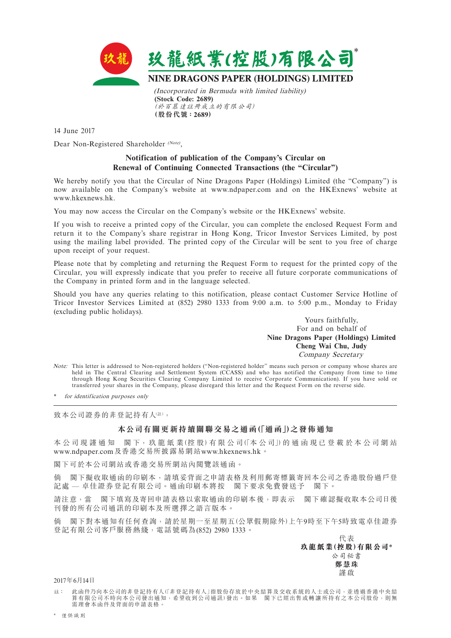

14 June 2017

Dear Non-Registered Shareholder (Note),

## **Notification of publication of the Company's Circular on Renewal of Continuing Connected Transactions (the "Circular")**

We hereby notify you that the Circular of Nine Dragons Paper (Holdings) Limited (the "Company") is now available on the Company's website at www.ndpaper.com and on the HKExnews' website at www.hkexnews.hk.

You may now access the Circular on the Company's website or the HKExnews' website.

If you wish to receive a printed copy of the Circular, you can complete the enclosed Request Form and return it to the Company's share registrar in Hong Kong, Tricor Investor Services Limited, by post using the mailing label provided. The printed copy of the Circular will be sent to you free of charge upon receipt of your request.

Please note that by completing and returning the Request Form to request for the printed copy of the Circular, you will expressly indicate that you prefer to receive all future corporate communications of the Company in printed form and in the language selected.

Should you have any queries relating to this notification, please contact Customer Service Hotline of Tricor Investor Services Limited at (852) 2980 1333 from 9:00 a.m. to 5:00 p.m., Monday to Friday (excluding public holidays).

> Yours faithfully, For and on behalf of **Nine Dragons Paper (Holdings) Limited Cheng Wai Chu, Judy** Company Secretary

Note: This letter is addressed to Non-registered holders ("Non-registered holder" means such person or company whose shares are held in The Central Clearing and Settlement System (CCASS) and who has notified the Company from time to time through Hong Kong Securities Clearing Company Limited to receive Corporate Communication). If you have sold or transferred your shares in the Company, please disregard this letter and the Request Form on the reverse side.

\* for identification purposes only

致本公司證券的非登記持有人(註),

## **本公司有關更新持續關聯交易之通函(「通函」)之發佈通知**

本 公 司 現 謹 通 知 閣 下, 玖 龍 紙 業(控 股) 有 限 公 司(「本 公 司」)的 通 函 現 已 登 載 於 本 公 司 網 站 www.ndpaper.com及香港交易所披露易網站www.hkexnews.hk。

閣下可於本公司網站或香港交易所網站內閱覽該通函。

倘 閣下擬收取通函的印刷本,請填妥背面之申請表格及利用郵寄標籤寄回本公司之香港股份過戶登 記處 — 卓佳證券登記有限公司。通函印刷本將按 閣下要求免費發送予 閣下。

請注意,當 閣下填寫及寄回申請表格以索取通函的印刷本後,即表示 閣下確認擬收取本公司日後 刊發的所有公司通訊的印刷本及所選擇之語言版本。

倘 閣下對本通知有任何查詢,請於星期一至星期五(公眾假期除外)上午9時至下午5時致電卓佳證券 登記有限公司客戶服務熱綫,電話號碼為(852) 2980 1333。

> 代表 **玖龍紙業(控股)有限公司**\* 公司秘書 **鄭慧珠** 謹啟

2017年6月14日

註: 此函件乃向本公司的非登記持有人(「非登記持有人」指股份存放於中央結算及交收系統的人士或公司,並透過香港中央結 算有限公司不時向本公司發出通知,希望收到公司通訊)發出。如果 閣下已經出售或轉讓所持有之本公司股份,則無 **需理會本函件及背面的申請表格。**